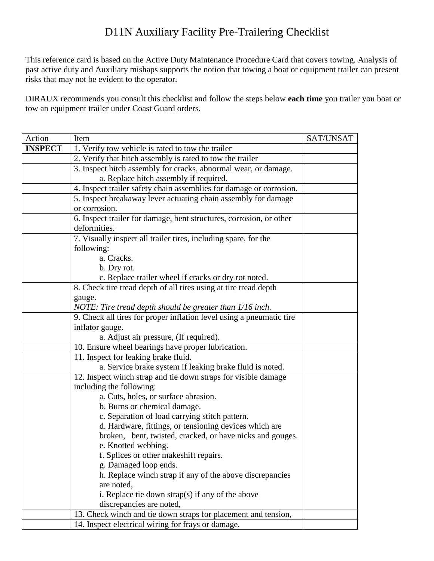## D11N Auxiliary Facility Pre-Trailering Checklist

This reference card is based on the Active Duty Maintenance Procedure Card that covers towing. Analysis of past active duty and Auxiliary mishaps supports the notion that towing a boat or equipment trailer can present risks that may not be evident to the operator.

DIRAUX recommends you consult this checklist and follow the steps below **each time** you trailer you boat or tow an equipment trailer under Coast Guard orders.

| Action         | Item                                                                 | SAT/UNSAT |
|----------------|----------------------------------------------------------------------|-----------|
| <b>INSPECT</b> | 1. Verify tow vehicle is rated to tow the trailer                    |           |
|                | 2. Verify that hitch assembly is rated to tow the trailer            |           |
|                | 3. Inspect hitch assembly for cracks, abnormal wear, or damage.      |           |
|                | a. Replace hitch assembly if required.                               |           |
|                | 4. Inspect trailer safety chain assemblies for damage or corrosion.  |           |
|                | 5. Inspect breakaway lever actuating chain assembly for damage       |           |
|                | or corrosion.                                                        |           |
|                | 6. Inspect trailer for damage, bent structures, corrosion, or other  |           |
|                | deformities.                                                         |           |
|                | 7. Visually inspect all trailer tires, including spare, for the      |           |
|                | following:                                                           |           |
|                | a. Cracks.                                                           |           |
|                | b. Dry rot.                                                          |           |
|                | c. Replace trailer wheel if cracks or dry rot noted.                 |           |
|                | 8. Check tire tread depth of all tires using at tire tread depth     |           |
|                | gauge.                                                               |           |
|                | NOTE: Tire tread depth should be greater than 1/16 inch.             |           |
|                | 9. Check all tires for proper inflation level using a pneumatic tire |           |
|                | inflator gauge.                                                      |           |
|                | a. Adjust air pressure, (If required).                               |           |
|                | 10. Ensure wheel bearings have proper lubrication.                   |           |
|                | 11. Inspect for leaking brake fluid.                                 |           |
|                | a. Service brake system if leaking brake fluid is noted.             |           |
|                | 12. Inspect winch strap and tie down straps for visible damage       |           |
|                | including the following:                                             |           |
|                | a. Cuts, holes, or surface abrasion.                                 |           |
|                | b. Burns or chemical damage.                                         |           |
|                | c. Separation of load carrying stitch pattern.                       |           |
|                | d. Hardware, fittings, or tensioning devices which are               |           |
|                | broken, bent, twisted, cracked, or have nicks and gouges.            |           |
|                | e. Knotted webbing.                                                  |           |
|                | f. Splices or other makeshift repairs.                               |           |
|                | g. Damaged loop ends.                                                |           |
|                | h. Replace winch strap if any of the above discrepancies             |           |
|                | are noted.                                                           |           |
|                | i. Replace tie down strap(s) if any of the above                     |           |
|                | discrepancies are noted,                                             |           |
|                | 13. Check winch and tie down straps for placement and tension,       |           |
|                | 14. Inspect electrical wiring for frays or damage.                   |           |